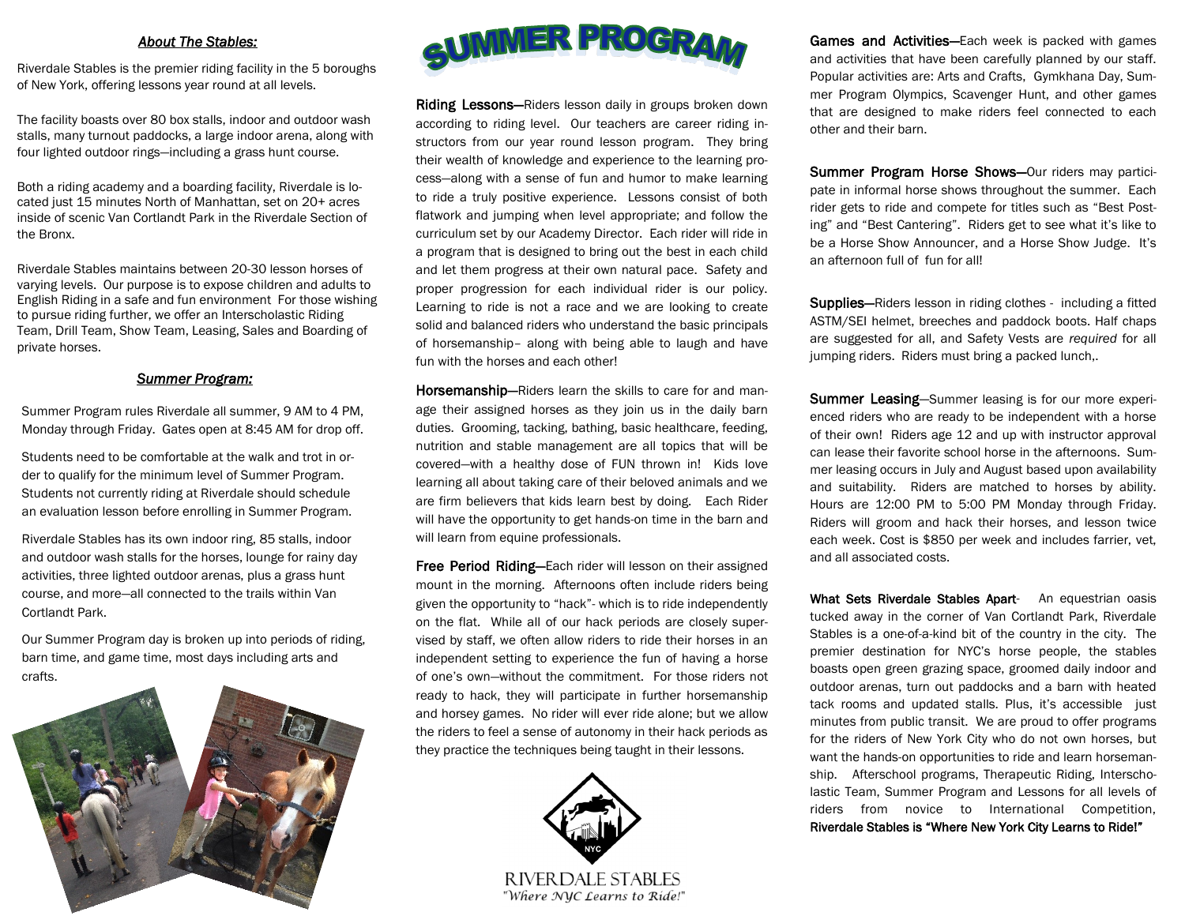#### *About The Stables:*

Riverdale Stables is the premier riding facility in the 5 boroughs of New York, offering lessons year round at all levels.

The facility boasts over 80 box stalls, indoor and outdoor wash stalls, many turnout paddocks, a large indoor arena, along with four lighted outdoor rings—including a grass hunt course.

Both a riding academy and a boarding facility, Riverdale is located just 15 minutes North of Manhattan, set on 20+ acres inside of scenic Van Cortlandt Park in the Riverdale Section of the Bronx.

Riverdale Stables maintains between 20-30 lesson horses of varying levels. Our purpose is to expose children and adults to English Riding in a safe and fun environment For those wishing to pursue riding further, we offer an Interscholastic Riding Team, Drill Team, Show Team, Leasing, Sales and Boarding of private horses.

#### *Summer Program:*

Summer Program rules Riverdale all summer, 9 AM to 4 PM, Monday through Friday. Gates open at 8:45 AM for drop off.

Students need to be comfortable at the walk and trot in order to qualify for the minimum level of Summer Program. Students not currently riding at Riverdale should schedule an evaluation lesson before enrolling in Summer Program.

Riverdale Stables has its own indoor ring, 85 stalls, indoor and outdoor wash stalls for the horses, lounge for rainy day activities, three lighted outdoor arenas, plus a grass hunt course, and more—all connected to the trails within Van Cortlandt Park.

Our Summer Program day is broken up into periods of riding, barn time, and game time, most days including arts and crafts.





Riding Lessons-Riders lesson daily in groups broken down according to riding level. Our teachers are career riding instructors from our year round lesson program. They bring their wealth of knowledge and experience to the learning process—along with a sense of fun and humor to make learning to ride a truly positive experience. Lessons consist of both flatwork and jumping when level appropriate; and follow the curriculum set by our Academy Director. Each rider will ride in a program that is designed to bring out the best in each child and let them progress at their own natural pace. Safety and proper progression for each individual rider is our policy. Learning to ride is not a race and we are looking to create solid and balanced riders who understand the basic principals of horsemanship– along with being able to laugh and have fun with the horses and each other!

Horsemanship—Riders learn the skills to care for and manage their assigned horses as they join us in the daily barn duties. Grooming, tacking, bathing, basic healthcare, feeding, nutrition and stable management are all topics that will be covered—with a healthy dose of FUN thrown in! Kids love learning all about taking care of their beloved animals and we are firm believers that kids learn best by doing. Each Rider will have the opportunity to get hands-on time in the barn and will learn from equine professionals.

Free Period Riding-Each rider will lesson on their assigned mount in the morning. Afternoons often include riders being given the opportunity to "hack"- which is to ride independently on the flat. While all of our hack periods are closely supervised by staff, we often allow riders to ride their horses in an independent setting to experience the fun of having a horse of one's own—without the commitment. For those riders not ready to hack, they will participate in further horsemanship and horsey games. No rider will ever ride alone; but we allow the riders to feel a sense of autonomy in their hack periods as they practice the techniques being taught in their lessons.



RIVER DALE STABLES "Where NYC Learns to Ride!" Games and Activities-Each week is packed with games and activities that have been carefully planned by our staff. Popular activities are: Arts and Crafts, Gymkhana Day, Summer Program Olympics, Scavenger Hunt, and other games that are designed to make riders feel connected to each other and their barn.

Summer Program Horse Shows-Our riders may participate in informal horse shows throughout the summer. Each rider gets to ride and compete for titles such as "Best Posting" and "Best Cantering". Riders get to see what it's like to be a Horse Show Announcer, and a Horse Show Judge. It's an afternoon full of fun for all!

**Supplies–**Riders lesson in riding clothes - including a fitted ASTM/SEI helmet, breeches and paddock boots. Half chaps are suggested for all, and Safety Vests are *required* for all jumping riders. Riders must bring a packed lunch,.

**Summer Leasing-Summer leasing is for our more experi**enced riders who are ready to be independent with a horse of their own! Riders age 12 and up with instructor approval can lease their favorite school horse in the afternoons. Summer leasing occurs in July and August based upon availability and suitability. Riders are matched to horses by ability. Hours are 12:00 PM to 5:00 PM Monday through Friday. Riders will groom and hack their horses, and lesson twice each week. Cost is \$850 per week and includes farrier, vet, and all associated costs.

What Sets Riverdale Stables Apart- An equestrian oasis tucked away in the corner of Van Cortlandt Park, Riverdale Stables is a one-of-a-kind bit of the country in the city. The premier destination for NYC's horse people, the stables boasts open green grazing space, groomed daily indoor and outdoor arenas, turn out paddocks and a barn with heated tack rooms and updated stalls. Plus, it's accessible just minutes from public transit. We are proud to offer programs for the riders of New York City who do not own horses, but want the hands-on opportunities to ride and learn horsemanship. Afterschool programs, Therapeutic Riding, Interscholastic Team, Summer Program and Lessons for all levels of riders from novice to International Competition, Riverdale Stables is "Where New York City Learns to Ride!"